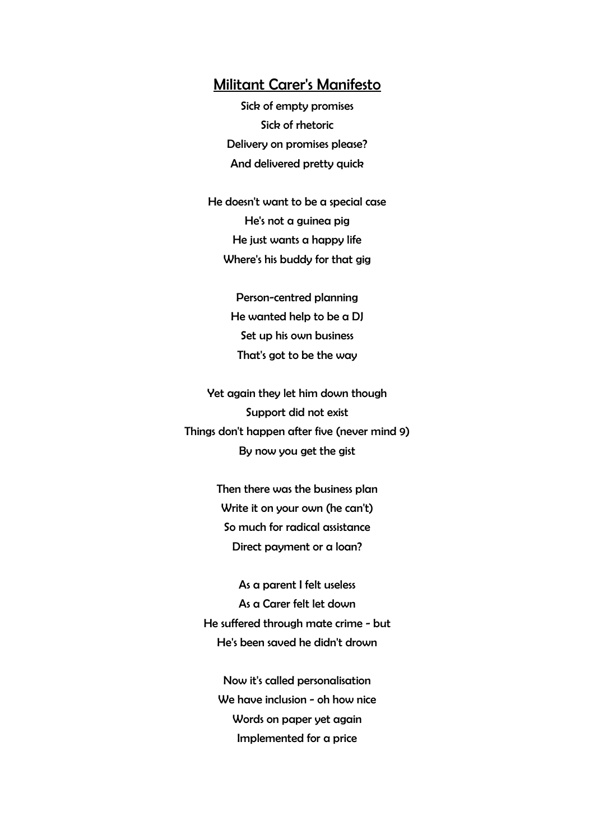## Militant Carer's Manifesto

Sick of empty promises Sick of rhetoric Delivery on promises please? And delivered pretty quick

He doesn't want to be a special case He's not a guinea pig He just wants a happy life Where's his buddy for that gig

> Person-centred planning He wanted help to be a DJ Set up his own business That's got to be the way

Yet again they let him down though Support did not exist Things don't happen after five (never mind 9) By now you get the gist

> Then there was the business plan Write it on your own (he can't) So much for radical assistance Direct payment or a loan?

As a parent I felt useless As a Carer felt let down He suffered through mate crime - but He's been saved he didn't drown

Now it's called personalisation We have inclusion - oh how nice Words on paper yet again Implemented for a price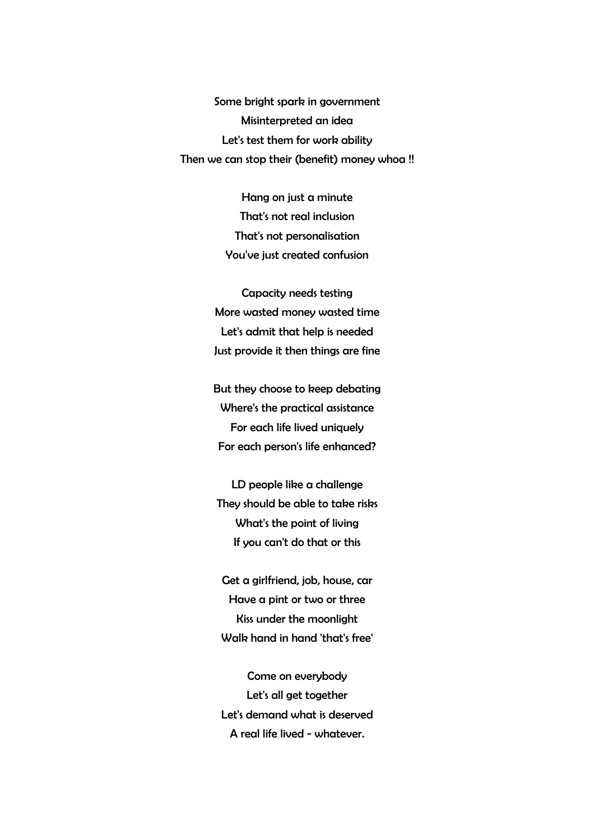Some bright spark in government Misinterpreted an idea Let's test them for work ability Then we can stop their (benefit) money whoa !!

> Hang on just a minute That's not real inclusion That's not personalisation You've just created confusion

Capacity needs testing More wasted money wasted time Let's admit that help is needed Just provide it then things are fine

But they choose to keep debating Where's the practical assistance For each life lived uniquely For each person's life enhanced?

LD people like a challenge They should be able to take risks What's the point of living If you can't do that or this

Get a girlfriend, job, house, car Have a pint or two or three Kiss under the moonlight Walk hand in hand 'that's free'

Come on everybody Let's all get together Let's demand what is deserved A real life lived - whatever.